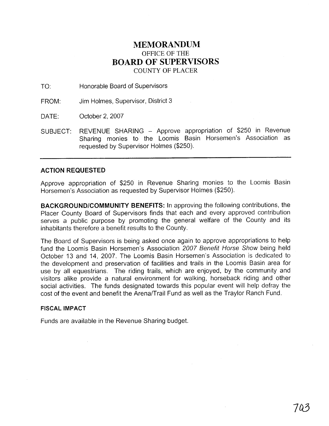### **MEMORANDUM**  OFFICE OF THE **BOARD OF SUPERVISORS**  COUNTY OF PLACER

TO: Honorable Board of Supervisors

FROM: Jim Holmes, Supervisor, District 3

DATE: October 2, 2007

SUBJECT: REVENUE SHARING - Approve appropriation of \$250 in Revenue Sharing monies to the Loomis Basin Horsemen's Association as requested by Supervisor Holmes (\$250).

#### **ACTION REQUESTED**

Approve appropriation of \$250 in Revenue Sharing monies to the Loomis Basin Horsemen's Association as requested by Supervisor Holmes (\$250).

**BACKGROUNDICOMMUNITY BENEFITS:** In approving the following contributions, the Placer County Board of Supervisors finds that each and every approved contribution serves a public purpose by promoting the general welfare of the County and its inhabitants therefore a benefit results to the County.

The Board of Supervisors is being asked once again to approve appropriations to help fund the Loomis Basin Horsemen's Association 2007 Benefit Horse Show being held October 13 and 14, 2007. The Loomis Basin Horsemen's Association is dedicated to the development and preservation of facilities and trails in the Loomis Basin area for use by all equestrians. The riding trails, which are enjoyed, by the community and visitors alike provide a natural environment for walking, horseback riding and other social activities. The funds designated towards this popular event will help defray the cost of the event and benefit the Arena/Trail Fund as well as the Traylor Ranch Fund.

#### **FISCAL IMPACT**

Funds are available in the Revenue Sharing budget.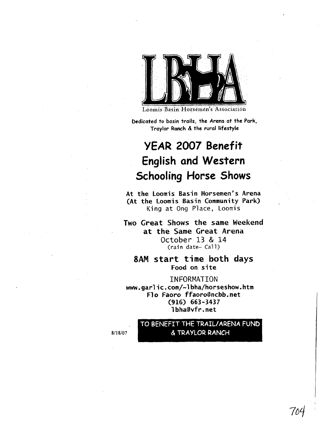

Loomis Basin Horsemen's Association

**bedicated to basin trails, the Arena at the Park, Traylor Ranch** & **the rural lifestyle** 

## **YEAR 2007 Benefit English and Western Schooling Horse Shows**

**At the Loomis Basin Horsemen's Arena (At the Loomis Basin Community Park)**  King **at 0ng** Place, Loomis

**Two Great Shows the same Weekend at the Same Great Arena October 13** & **14**  (rain **date-** Call)

**8AM start time both days Food on site** 

INFORMATION **www.garlic.com/-lbha/horseshow.htm Flo Faoro ffaoro@ncbb.net (916) 663-3437 I bha9vfr. net** 

> TO BENEFIT THE TRAIL/ARENA FUND & TRAYLOR RANCH

8/18/07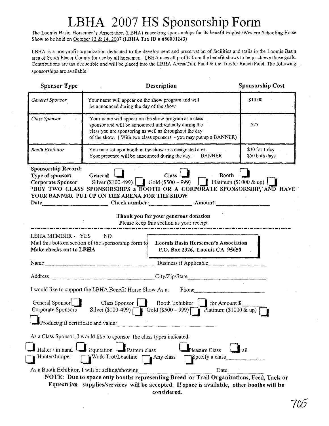# LBHA 2007 HS Sponsorship Form

The Loomis Basin Horsemen's Association (LBHA) is seeking sponsorships for its benefit EngIisWestern Schooling Horse Show to be held on October 13 & 14,2007 (LBHA Tax ID # **680001143)** 

LBHA is a non-profit organization dedicated to the development and preservation of facilities and trails in the Loomis Basin area of South Placer County for use by all horsemen. LBHA uses all profits from the benefit shows to help achieve these goals. Contributions are tax deductibie and will be placed into the LBHA Arena/Trail Fund & the Traylor Ranch Fund. The following sponsorships are available:

| <b>Sponsor Type</b>                                          | Description                                                                                                                                                                                                                                 |                                                                                                                                                                                                                                                                                                                                                                                                                                            | <b>Sponsorship Cost</b>          |
|--------------------------------------------------------------|---------------------------------------------------------------------------------------------------------------------------------------------------------------------------------------------------------------------------------------------|--------------------------------------------------------------------------------------------------------------------------------------------------------------------------------------------------------------------------------------------------------------------------------------------------------------------------------------------------------------------------------------------------------------------------------------------|----------------------------------|
| General Sponsor                                              | Your name will appear on the show program and will<br>be announced during the day of the show                                                                                                                                               |                                                                                                                                                                                                                                                                                                                                                                                                                                            | \$10.00                          |
| Class Sponsor                                                | Your name will appear on the show program as a class<br>sponsor and will be announced individually during the<br>class you are sponsoring as well as throughout the day<br>of the show. (With two class sponsors - you may put up a BANNER) |                                                                                                                                                                                                                                                                                                                                                                                                                                            | \$25                             |
| Booth Exhibitor                                              | You may set up a booth at the show in a designated area.<br>Your presence will be announced during the day. BANNER                                                                                                                          |                                                                                                                                                                                                                                                                                                                                                                                                                                            | \$30 for 1 day<br>\$50 both days |
| Sponsorship Record:<br>Type of sponsor:<br>Corporate Sponsor | General  <br>YOUR BANNER PUT UP ON THE ARENA FOR THE SHOW                                                                                                                                                                                   | Class <sup>1</sup><br><b>Booth</b><br>Silver (\$100-499) $\boxed{\phantom{0}\phantom{\mathbf{C}}}\phantom{\mathbf{C}}$ Gold (\$500 – 999) $\phantom{\mathbf{C}}\phantom{\mathbf{C}}\phantom{\mathbf{C}}$ Platinum (\$1000 & up) $\phantom{\mathbf{C}}\phantom{\mathbf{C}}$<br>*BUY TWO CLASS SPONSORSHIPS a BOOTH OR A CORPORATE SPONSORSHIP, AND HAVE<br>Thank you for your generous donation<br>Please keep this section as your receipt |                                  |
|                                                              |                                                                                                                                                                                                                                             |                                                                                                                                                                                                                                                                                                                                                                                                                                            |                                  |
| LBHA MEMBER - YES<br>Make checks out to LBHA                 | N <sub>O</sub><br>Mail this bottom section of the sponsorship form to                                                                                                                                                                       | Loomis Basin Horsemen's Association<br>P.O. Box 2326, Loomis CA 95650                                                                                                                                                                                                                                                                                                                                                                      |                                  |
| Name                                                         |                                                                                                                                                                                                                                             | Business if Applicable                                                                                                                                                                                                                                                                                                                                                                                                                     |                                  |
| Address                                                      |                                                                                                                                                                                                                                             | City/Zip/State                                                                                                                                                                                                                                                                                                                                                                                                                             |                                  |
|                                                              | I would like to support the LBHA Benefit Horse Show As a:                                                                                                                                                                                   | Phone<br>$\frac{1}{2} \left( \frac{1}{2} \frac{1}{2} \left( \frac{1}{2} \frac{1}{2} \frac{1}{2} \frac{1}{2} \frac{1}{2} \frac{1}{2} \frac{1}{2} \frac{1}{2} \frac{1}{2} \frac{1}{2} \frac{1}{2} \frac{1}{2} \frac{1}{2} \frac{1}{2} \frac{1}{2} \frac{1}{2} \frac{1}{2} \frac{1}{2} \frac{1}{2} \frac{1}{2} \frac{1}{2} \frac{1}{2} \frac{1}{2} \frac{1}{2} \frac{1}{2} \frac{1}{2} \frac{1}{2} \frac{1$                                   |                                  |
| General Sponsor                                              | $Class Sponsor$ $\Box$                                                                                                                                                                                                                      | Booth Exhibitor   for Amount \$<br>Corporate Sponsors Silver (\$100-499) Gold (\$500 - 999) Platinum (\$1000 & up)                                                                                                                                                                                                                                                                                                                         |                                  |
| Product/gift certificate and value:                          |                                                                                                                                                                                                                                             |                                                                                                                                                                                                                                                                                                                                                                                                                                            |                                  |
|                                                              | As a Class Sponsor, I would like to sponsor the class types indicated:                                                                                                                                                                      |                                                                                                                                                                                                                                                                                                                                                                                                                                            |                                  |
| Halter / in hand<br>Hunter/Jumper                            | Equitation Pattern class<br>Walk-Trot/Leadline $\Box$ Any class                                                                                                                                                                             | Pleasure Class<br>Specify a class                                                                                                                                                                                                                                                                                                                                                                                                          | rail                             |
|                                                              | As a Booth Exhibitor, I will be selling/showing                                                                                                                                                                                             | Date                                                                                                                                                                                                                                                                                                                                                                                                                                       |                                  |
|                                                              |                                                                                                                                                                                                                                             | NOTE: Due to space only booths representing Breed or Trail Organizations, Feed, Tack or                                                                                                                                                                                                                                                                                                                                                    |                                  |
|                                                              |                                                                                                                                                                                                                                             | Equestrian supplies/services will be accepted. If space is available, other booths will be<br>considered.                                                                                                                                                                                                                                                                                                                                  |                                  |